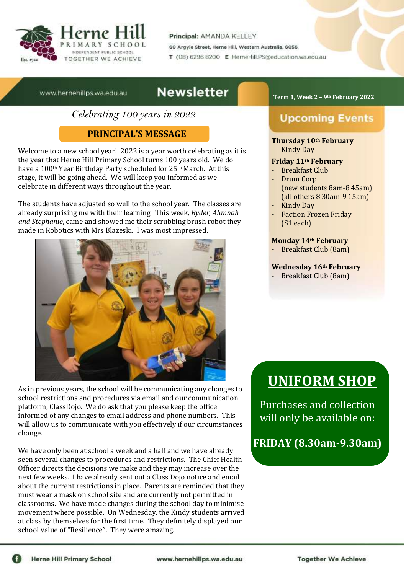

Principal: AMANDA KELLEY

60 Argyle Street, Herne Hill, Western Australia, 6056

T (08) 6296 8200 E HerneHill,PS@education.wa.edu.au

www.hernehillps.wa.edu.au

## **Newsletter**

*Celebrating 100 years in 2022*

## **PRINCIPAL'S MESSAGE**

Welcome to a new school year! 2022 is a year worth celebrating as it is the year that Herne Hill Primary School turns 100 years old. We do have a 100<sup>th</sup> Year Birthday Party scheduled for 25<sup>th</sup> March. At this stage, it will be going ahead. We will keep you informed as we celebrate in different ways throughout the year.

The students have adjusted so well to the school year. The classes are already surprising me with their learning. This week, *Ryder, Alannah and Stephanie*, came and showed me their scrubbing brush robot they made in Robotics with Mrs Blazeski. I was most impressed.



As in previous years, the school will be communicating any changes to school restrictions and procedures via email and our communication platform, ClassDojo. We do ask that you please keep the office informed of any changes to email address and phone numbers. This will allow us to communicate with you effectively if our circumstances change.

We have only been at school a week and a half and we have already seen several changes to procedures and restrictions. The Chief Health Officer directs the decisions we make and they may increase over the next few weeks. I have already sent out a Class Dojo notice and email about the current restrictions in place. Parents are reminded that they must wear a mask on school site and are currently not permitted in classrooms. We have made changes during the school day to minimise movement where possible. On Wednesday, the Kindy students arrived at class by themselves for the first time. They definitely displayed our school value of "Resilience". They were amazing.

#### **Term 1, Week 2 – 9th February 2022**

# **Upcoming Events**

#### **Thursday 10th February**

- Kindy Day

#### **Friday 11th February**

- Breakfast Club
- Drum Corp (new students 8am-8.45am) (all others 8.30am-9.15am)
- Kindy Day
- Faction Frozen Friday (\$1 each)

#### **Monday 14th February**

- Breakfast Club (8am)

#### **Wednesday 16th February**

- Breakfast Club (8am)

# **UNIFORM SHOP**

Purchases and collection will only be available on:

**FRIDAY (8.30am-9.30am)**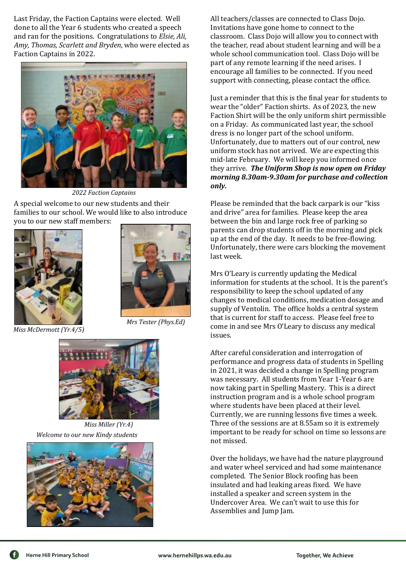Last Friday, the Faction Captains were elected. Well done to all the Year 6 students who created a speech and ran for the positions. Congratulations to *Elsie, Ali, Amy, Thomas, Scarlett and Bryden*, who were elected as Faction Captains in 2022.



*2022 Faction Captains*

A special welcome to our new students and their families to our school. We would like to also introduce you to our new staff members:





*Miss McDermott (Yr.4/5)*

*Mrs Tester (Phys.Ed)*



 *Welcome to our new Kindy students Miss Miller (Yr.4)*



All teachers/classes are connected to Class Dojo. Invitations have gone home to connect to the classroom. Class Dojo will allow you to connect with the teacher, read about student learning and will be a whole school communication tool. Class Dojo will be part of any remote learning if the need arises. I encourage all families to be connected. If you need support with connecting, please contact the office.

Just a reminder that this is the final year for students to wear the "older" Faction shirts. As of 2023, the new Faction Shirt will be the only uniform shirt permissible on a Friday. As communicated last year, the school dress is no longer part of the school uniform. Unfortunately, due to matters out of our control, new uniform stock has not arrived. We are expecting this mid-late February. We will keep you informed once they arrive. *The Uniform Shop is now open on Friday morning 8.30am-9.30am for purchase and collection only.*

Please be reminded that the back carpark is our "kiss and drive" area for families. Please keep the area between the bin and large rock free of parking so parents can drop students off in the morning and pick up at the end of the day. It needs to be free-flowing. Unfortunately, there were cars blocking the movement last week.

Mrs O'Leary is currently updating the Medical information for students at the school. It is the parent's responsibility to keep the school updated of any changes to medical conditions, medication dosage and supply of Ventolin. The office holds a central system that is current for staff to access. Please feel free to come in and see Mrs O'Leary to discuss any medical issues.

After careful consideration and interrogation of performance and progress data of students in Spelling in 2021, it was decided a change in Spelling program was necessary. All students from Year 1-Year 6 are now taking part in Spelling Mastery. This is a direct instruction program and is a whole school program where students have been placed at their level. Currently, we are running lessons five times a week. Three of the sessions are at 8.55am so it is extremely important to be ready for school on time so lessons are not missed.

Over the holidays, we have had the nature playground and water wheel serviced and had some maintenance completed. The Senior Block roofing has been insulated and had leaking areas fixed. We have installed a speaker and screen system in the Undercover Area. We can't wait to use this for Assemblies and Jump Jam.